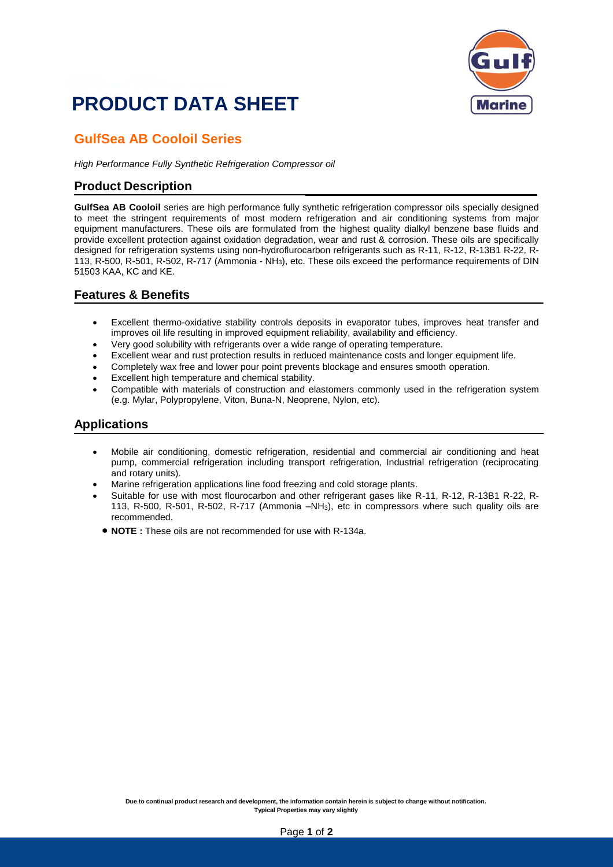## **PRODUCT DATA SHEET**



### **GulfSea AB Cooloil Series**

*High Performance Fully Synthetic Refrigeration Compressor oil*

#### **Product Description**

**GulfSea AB Cooloil** series are high performance fully synthetic refrigeration compressor oils specially designed to meet the stringent requirements of most modern refrigeration and air conditioning systems from major equipment manufacturers. These oils are formulated from the highest quality dialkyl benzene base fluids and provide excellent protection against oxidation degradation, wear and rust & corrosion. These oils are specifically designed for refrigeration systems using non-hydroflurocarbon refrigerants such as R-11, R-12, R-13B1 R-22, R-113, R-500, R-501, R-502, R-717 (Ammonia - NH3), etc. These oils exceed the performance requirements of DIN 51503 KAA, KC and KE.

#### **Features & Benefits**

- Excellent thermo-oxidative stability controls deposits in evaporator tubes, improves heat transfer and improves oil life resulting in improved equipment reliability, availability and efficiency.
- Very good solubility with refrigerants over a wide range of operating temperature.
- Excellent wear and rust protection results in reduced maintenance costs and longer equipment life.
- Completely wax free and lower pour point prevents blockage and ensures smooth operation.
- Excellent high temperature and chemical stability.
- Compatible with materials of construction and elastomers commonly used in the refrigeration system (e.g. Mylar, Polypropylene, Viton, Buna-N, Neoprene, Nylon, etc).

#### **Applications**

- Mobile air conditioning, domestic refrigeration, residential and commercial air conditioning and heat pump, commercial refrigeration including transport refrigeration, Industrial refrigeration (reciprocating and rotary units).
- Marine refrigeration applications line food freezing and cold storage plants.
- Suitable for use with most flourocarbon and other refrigerant gases like R-11, R-12, R-13B1 R-22, R-113, R-500, R-501, R-502, R-717 (Ammonia –NH3), etc in compressors where such quality oils are recommended.
	- **NOTE :** These oils are not recommended for use with R-134a.